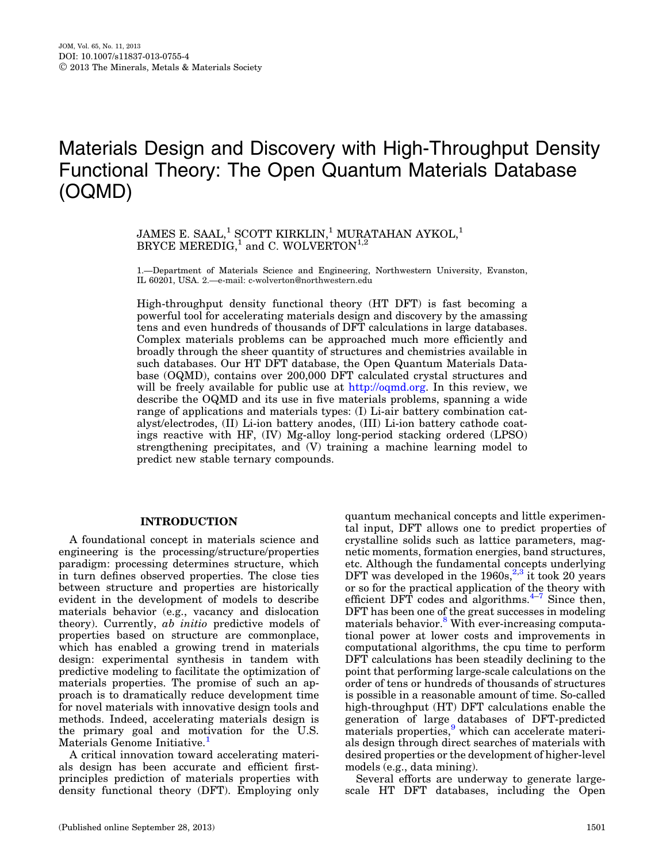# Materials Design and Discovery with High-Throughput Density Functional Theory: The Open Quantum Materials Database (OQMD)

JAMES E. SAAL,<sup>1</sup> SCOTT KIRKLIN,<sup>1</sup> MURATAHAN AYKOL,<sup>1</sup> BRYCE MEREDIG,<sup>1</sup> and C. WOLVERTON<sup>1,2</sup>

1.—Department of Materials Science and Engineering, Northwestern University, Evanston, IL 60201, USA. 2.—e-mail: c-wolverton@northwestern.edu

High-throughput density functional theory (HT DFT) is fast becoming a powerful tool for accelerating materials design and discovery by the amassing tens and even hundreds of thousands of DFT calculations in large databases. Complex materials problems can be approached much more efficiently and broadly through the sheer quantity of structures and chemistries available in such databases. Our HT DFT database, the Open Quantum Materials Database (OQMD), contains over 200,000 DFT calculated crystal structures and will be freely available for public use at http://oqmd.org. In this review, we describe the OQMD and its use in five materials problems, spanning a wide range of applications and materials types: (I) Li-air battery combination catalyst/electrodes, (II) Li-ion battery anodes, (III) Li-ion battery cathode coatings reactive with HF, (IV) Mg-alloy long-period stacking ordered (LPSO) strengthening precipitates, and (V) training a machine learning model to predict new stable ternary compounds.

## INTRODUCTION

A foundational concept in materials science and engineering is the processing/structure/properties paradigm: processing determines structure, which in turn defines observed properties. The close ties between structure and properties are historically evident in the development of models to describe materials behavior (e.g., vacancy and dislocation theory). Currently, ab initio predictive models of properties based on structure are commonplace, which has enabled a growing trend in materials design: experimental synthesis in tandem with predictive modeling to facilitate the optimization of materials properties. The promise of such an approach is to dramatically reduce development time for novel materials with innovative design tools and methods. Indeed, accelerating materials design is the primary goal and motivation for the U.S. Materials Genome Initiative.<sup>[1](#page-7-0)</sup>

A critical innovation toward accelerating materials design has been accurate and efficient firstprinciples prediction of materials properties with density functional theory (DFT). Employing only quantum mechanical concepts and little experimental input, DFT allows one to predict properties of crystalline solids such as lattice parameters, magnetic moments, formation energies, band structures, etc. Although the fundamental concepts underlying DFT was developed in the  $1960s<sup>2,3</sup>$  it took 20 years or so for the practical application of the theory with efficient DFT codes and algorithms. $4-7$  Since then, DFT has been one of the great successes in modeling materials behavior.<sup>[8](#page-7-0)</sup> With ever-increasing computational power at lower costs and improvements in computational algorithms, the cpu time to perform DFT calculations has been steadily declining to the point that performing large-scale calculations on the order of tens or hundreds of thousands of structures is possible in a reasonable amount of time. So-called high-throughput (HT) DFT calculations enable the generation of large databases of DFT-predicted materials properties,<sup>[9](#page-7-0)</sup> which can accelerate materials design through direct searches of materials with desired properties or the development of higher-level models (e.g., data mining).

Several efforts are underway to generate largescale HT DFT databases, including the Open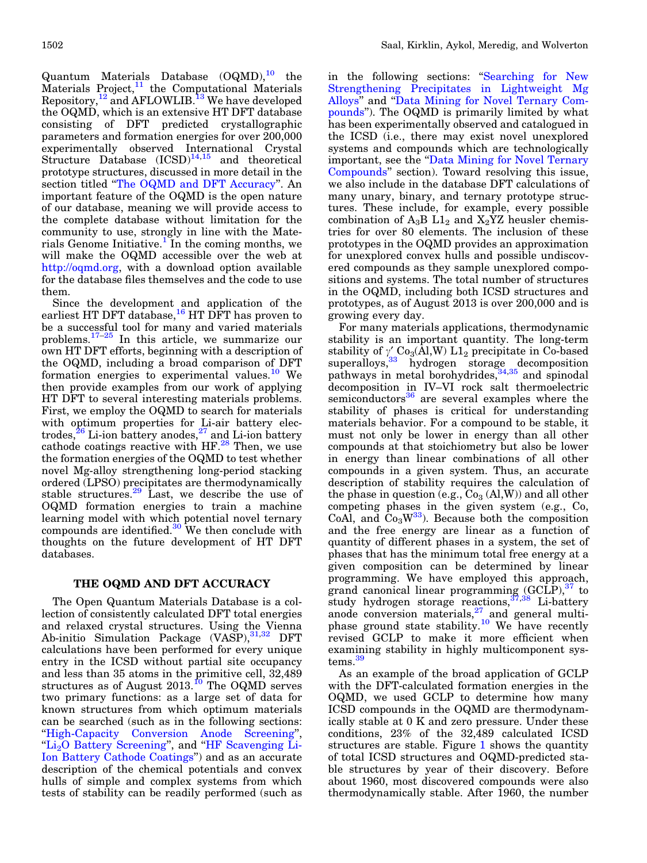<span id="page-1-0"></span>Quantum Materials Database  $(OQMD)$ ,<sup>[10](#page-7-0)</sup> the Materials Project, $11$  the Computational Materials Repository, $^{12}$  $^{12}$  $^{12}$  and AFLOWLIB.<sup>13</sup> We have developed the OQMD, which is an extensive HT DFT database consisting of DFT predicted crystallographic parameters and formation energies for over 200,000 experimentally observed International Crystal Structure Database  $(ICSD)^{14,15}$  $(ICSD)^{14,15}$  $(ICSD)^{14,15}$  and theoretical prototype structures, discussed in more detail in the section titled "The OQMD and DFT Accuracy". An important feature of the OQMD is the open nature of our database, meaning we will provide access to the complete database without limitation for the community to use, strongly in line with the Materials Genome Initiative.<sup> $\perp$ </sup> In the coming months, we will make the OQMD accessible over the web at http://oqmd.org, with a download option available for the database files themselves and the code to use them.

Since the development and application of the earliest HT DFT database,<sup>[16](#page-7-0)</sup> HT DFT has proven to be a successful tool for many and varied materials problems.  $17-25$  In this article, we summarize our own HT DFT efforts, beginning with a description of the OQMD, including a broad comparison of DFT formation energies to experimental values.<sup>[10](#page-7-0)</sup> We then provide examples from our work of applying HT DFT to several interesting materials problems. First, we employ the OQMD to search for materials with optimum properties for Li-air battery electrodes, $^{26}$  $^{26}$  $^{26}$  Li-ion battery anodes, $^{27}$  $^{27}$  $^{27}$  and Li-ion battery cathode coatings reactive with HF.<sup>[28](#page-7-0)</sup> Then, we use the formation energies of the OQMD to test whether novel Mg-alloy strengthening long-period stacking ordered (LPSO) precipitates are thermodynamically stable structures.<sup>[29](#page-8-0)</sup> Last, we describe the use of OQMD formation energies to train a machine learning model with which potential novel ternary compounds are identified. $30$  We then conclude with thoughts on the future development of HT DFT databases.

# THE OQMD AND DFT ACCURACY

The Open Quantum Materials Database is a collection of consistently calculated DFT total energies and relaxed crystal structures. Using the Vienna Ab-initio Simulation Package (VASP), 31,32 DFT calculations have been performed for every unique entry in the ICSD without partial site occupancy and less than 35 atoms in the primitive cell, 32,489 structures as of August  $2013.<sup>10</sup>$  $2013.<sup>10</sup>$  $2013.<sup>10</sup>$  The OQMD serves two primary functions: as a large set of data for known structures from which optimum materials can be searched (such as in the following sections: '['High-Capacity Conversion Anode Screening](#page-2-0)'', "Li<sub>2</sub>O Battery Screening", and "[HF Scavenging Li-](#page-3-0)[Ion Battery Cathode Coatings'](#page-3-0)') and as an accurate description of the chemical potentials and convex hulls of simple and complex systems from which tests of stability can be readily performed (such as

in the following sections: "[Searching for New](#page-5-0) [Strengthening Precipitates in Lightweight Mg](#page-5-0) [Alloys'](#page-5-0)' and '['Data Mining for Novel Ternary Com](#page-5-0)[pounds'](#page-5-0)'). The OQMD is primarily limited by what has been experimentally observed and catalogued in the ICSD (i.e., there may exist novel unexplored systems and compounds which are technologically important, see the "Data Mining for Novel Ternary [Compounds'](#page-5-0)' section). Toward resolving this issue, we also include in the database DFT calculations of many unary, binary, and ternary prototype structures. These include, for example, every possible combination of  $A_3B L1_2$  and  $X_2YZ$  heusler chemistries for over 80 elements. The inclusion of these prototypes in the OQMD provides an approximation for unexplored convex hulls and possible undiscovered compounds as they sample unexplored compositions and systems. The total number of structures in the OQMD, including both ICSD structures and prototypes, as of August 2013 is over 200,000 and is growing every day.

For many materials applications, thermodynamic stability is an important quantity. The long-term stability of  $\gamma_s'$  Co<sub>3</sub>(Al,W) L1<sub>2</sub> precipitate in Co-based superalloys,<sup>[33](#page-8-0)</sup> hydrogen storage decomposition pathways in metal borohydrides,<sup>[34,35](#page-8-0)</sup> and spinodal decomposition in IV–VI rock salt thermoelectric semiconductors $36$  are several examples where the stability of phases is critical for understanding materials behavior. For a compound to be stable, it must not only be lower in energy than all other compounds at that stoichiometry but also be lower in energy than linear combinations of all other compounds in a given system. Thus, an accurate description of stability requires the calculation of the phase in question (e.g.,  $Co<sub>3</sub>(Al,W)$ ) and all other competing phases in the given system (e.g., Co, CoAl, and  $Co<sub>3</sub>W<sup>33</sup>$ ). Because both the composition and the free energy are linear as a function of quantity of different phases in a system, the set of phases that has the minimum total free energy at a given composition can be determined by linear programming. We have employed this approach, grand canonical linear programming  $(GCLP)$ ,<sup>[37](#page-8-0)</sup> to study hydrogen storage reactions,<sup>[37,38](#page-8-0)</sup> Li-battery anode conversion materials, $27$  and general multi-phase ground state stability.<sup>[10](#page-7-0)</sup> We have recently revised GCLP to make it more efficient when examining stability in highly multicomponent systems.<sup>3</sup>

As an example of the broad application of GCLP with the DFT-calculated formation energies in the OQMD, we used GCLP to determine how many ICSD compounds in the OQMD are thermodynamically stable at 0 K and zero pressure. Under these conditions, 23% of the 32,489 calculated ICSD structures are stable. Figure [1](#page-2-0) shows the quantity of total ICSD structures and OQMD-predicted stable structures by year of their discovery. Before about 1960, most discovered compounds were also thermodynamically stable. After 1960, the number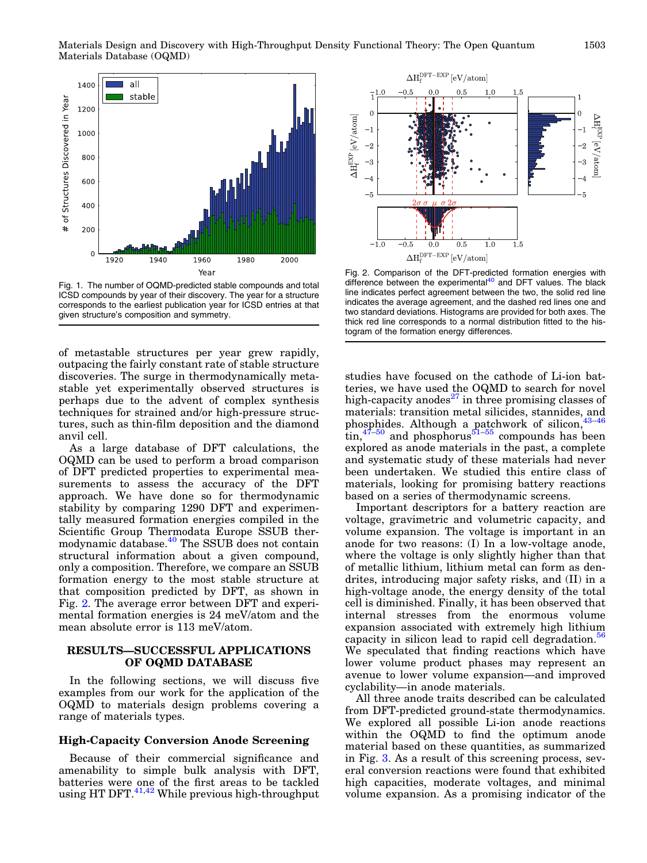<span id="page-2-0"></span>

Fig. 1. The number of OQMD-predicted stable compounds and total ICSD compounds by year of their discovery. The year for a structure corresponds to the earliest publication year for ICSD entries at that given structure's composition and symmetry.

of metastable structures per year grew rapidly, outpacing the fairly constant rate of stable structure discoveries. The surge in thermodynamically metastable yet experimentally observed structures is perhaps due to the advent of complex synthesis techniques for strained and/or high-pressure structures, such as thin-film deposition and the diamond anvil cell.

As a large database of DFT calculations, the OQMD can be used to perform a broad comparison of DFT predicted properties to experimental measurements to assess the accuracy of the DFT approach. We have done so for thermodynamic stability by comparing 1290 DFT and experimentally measured formation energies compiled in the Scientific Group Thermodata Europe SSUB ther-modynamic database.<sup>[40](#page-8-0)</sup> The SSUB does not contain structural information about a given compound, only a composition. Therefore, we compare an SSUB formation energy to the most stable structure at that composition predicted by DFT, as shown in Fig. 2. The average error between DFT and experimental formation energies is 24 meV/atom and the mean absolute error is 113 meV/atom.

## RESULTS—SUCCESSFUL APPLICATIONS OF OQMD DATABASE

In the following sections, we will discuss five examples from our work for the application of the OQMD to materials design problems covering a range of materials types.

# High-Capacity Conversion Anode Screening

Because of their commercial significance and amenability to simple bulk analysis with DFT, batteries were one of the first areas to be tackled patteries were on the most through using HT DFT.<sup>41,[42](#page-8-0)</sup> While previous high-throughput



Fig. 2. Comparison of the DFT-predicted formation energies with difference between the experimental<sup>[40](#page-8-0)</sup> and DFT values. The black line indicates perfect agreement between the two, the solid red line indicates the average agreement, and the dashed red lines one and two standard deviations. Histograms are provided for both axes. The thick red line corresponds to a normal distribution fitted to the histogram of the formation energy differences.

studies have focused on the cathode of Li-ion batteries, we have used the OQMD to search for novel high-capacity anodes $27$  in three promising classes of materials: transition metal silicides, stannides, and phosphides. Although a patchwork of silicon,<sup>4</sup>  $\[\text{tin},\frac{47-50}{ }$  and phosphorus<sup>[51–55](#page-8-0)</sup> compounds has been explored as anode materials in the past, a complete and systematic study of these materials had never been undertaken. We studied this entire class of materials, looking for promising battery reactions based on a series of thermodynamic screens.

Important descriptors for a battery reaction are voltage, gravimetric and volumetric capacity, and volume expansion. The voltage is important in an anode for two reasons: (I) In a low-voltage anode, where the voltage is only slightly higher than that of metallic lithium, lithium metal can form as dendrites, introducing major safety risks, and (II) in a high-voltage anode, the energy density of the total cell is diminished. Finally, it has been observed that internal stresses from the enormous volume expansion associated with extremely high lithium capacity in silicon lead to rapid cell degradation.<sup>[56](#page-8-0)</sup> We speculated that finding reactions which have lower volume product phases may represent an avenue to lower volume expansion—and improved cyclability—in anode materials.

All three anode traits described can be calculated from DFT-predicted ground-state thermodynamics. We explored all possible Li-ion anode reactions within the OQMD to find the optimum anode material based on these quantities, as summarized in Fig. [3](#page-3-0). As a result of this screening process, several conversion reactions were found that exhibited high capacities, moderate voltages, and minimal volume expansion. As a promising indicator of the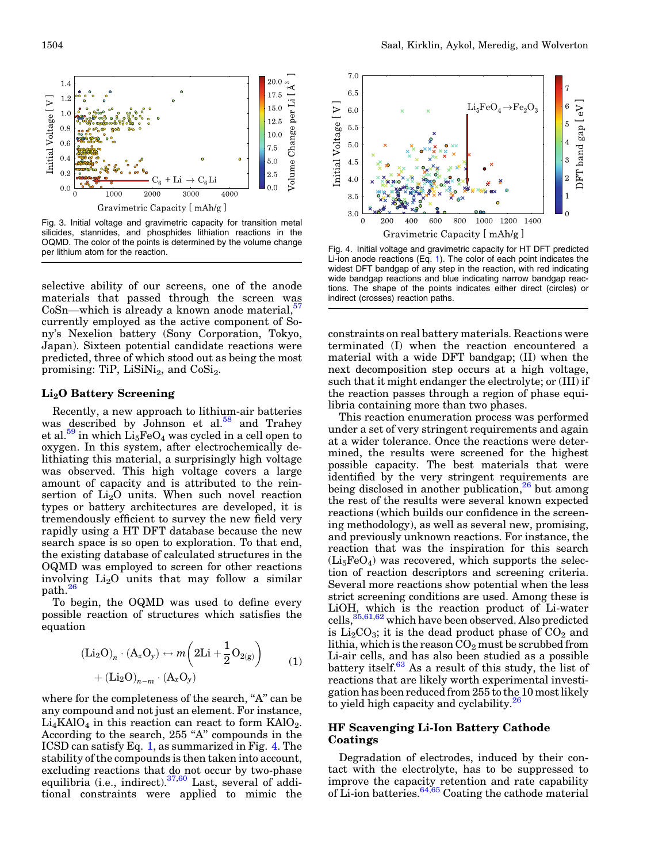<span id="page-3-0"></span>

Fig. 3. Initial voltage and gravimetric capacity for transition metal silicides, stannides, and phosphides lithiation reactions in the OQMD. The color of the points is determined by the volume change per lithium atom for the reaction.<br>Fig. 4. Initial voltage and gravimetric capacity for HT DFT predicted<br>respectively.

selective ability of our screens, one of the anode materials that passed through the screen was  $CoSn$ —which is already a known anode material,  $57$ currently employed as the active component of Sony's Nexelion battery (Sony Corporation, Tokyo, Japan). Sixteen potential candidate reactions were predicted, three of which stood out as being the most promising: TiP,  $LiSiNi<sub>2</sub>$ , and  $CoSi<sub>2</sub>$ .

#### Li2O Battery Screening

Recently, a new approach to lithium-air batteries was described by Johnson et al.<sup>[58](#page-8-0)</sup> and Trahey et al.<sup>59</sup> in which  $Li_5FeO_4$  was cycled in a cell open to oxygen. In this system, after electrochemically delithiating this material, a surprisingly high voltage was observed. This high voltage covers a large amount of capacity and is attributed to the reinsertion of  $Li<sub>2</sub>O$  units. When such novel reaction types or battery architectures are developed, it is tremendously efficient to survey the new field very rapidly using a HT DFT database because the new search space is so open to exploration. To that end, the existing database of calculated structures in the OQMD was employed to screen for other reactions involving  $Li<sub>2</sub>O$  units that may follow a similar  $path.<sup>26</sup>$  $path.<sup>26</sup>$  $path.<sup>26</sup>$ 

To begin, the OQMD was used to define every possible reaction of structures which satisfies the equation

$$
\begin{aligned} (\text{Li}_2\text{O})_n \cdot (\text{A}_x\text{O}_y) &\leftrightarrow m\bigg(2\text{Li} + \frac{1}{2}\text{O}_{2(g)}\bigg) \\ &+ (\text{Li}_2\text{O})_{n-m} \cdot (\text{A}_x\text{O}_y) \end{aligned} \tag{1}
$$

where for the completeness of the search, "A" can be any compound and not just an element. For instance,  $Li<sub>4</sub>KAIO<sub>4</sub>$  in this reaction can react to form  $KAlO<sub>2</sub>$ . According to the search, 255 "A" compounds in the ICSD can satisfy Eq. 1, as summarized in Fig. 4. The stability of the compounds is then taken into account, excluding reactions that do not occur by two-phase equilibria (i.e., indirect).<sup>[37,60](#page-8-0)</sup> Last, several of additional constraints were applied to mimic the



Li-ion anode reactions (Eq. 1). The color of each point indicates the widest DFT bandgap of any step in the reaction, with red indicating wide bandgap reactions and blue indicating narrow bandgap reactions. The shape of the points indicates either direct (circles) or indirect (crosses) reaction paths.

constraints on real battery materials. Reactions were terminated (I) when the reaction encountered a material with a wide DFT bandgap; (II) when the next decomposition step occurs at a high voltage, such that it might endanger the electrolyte; or (III) if the reaction passes through a region of phase equilibria containing more than two phases.

This reaction enumeration process was performed under a set of very stringent requirements and again at a wider tolerance. Once the reactions were determined, the results were screened for the highest possible capacity. The best materials that were identified by the very stringent requirements are being disclosed in another publication, $26$  but among the rest of the results were several known expected reactions (which builds our confidence in the screening methodology), as well as several new, promising, and previously unknown reactions. For instance, the reaction that was the inspiration for this search  $(Li<sub>5</sub>FeO<sub>4</sub>)$  was recovered, which supports the selection of reaction descriptors and screening criteria. Several more reactions show potential when the less strict screening conditions are used. Among these is LiOH, which is the reaction product of Li-water  $\text{cells},\frac{35,61,62}{3}$  which have been observed. Also predicted is  $Li<sub>2</sub>CO<sub>3</sub>$ ; it is the dead product phase of  $CO<sub>2</sub>$  and lithia, which is the reason  $CO<sub>2</sub>$  must be scrubbed from Li-air cells, and has also been studied as a possible battery itself. $63$  As a result of this study, the list of reactions that are likely worth experimental investigation has been reduced from 255 to the 10 most likely to yield high capacity and cyclability.<sup>26</sup>

## HF Scavenging Li-Ion Battery Cathode Coatings

Degradation of electrodes, induced by their contact with the electrolyte, has to be suppressed to improve the capacity retention and rate capability of Li-ion batteries.[64,65](#page-8-0) Coating the cathode material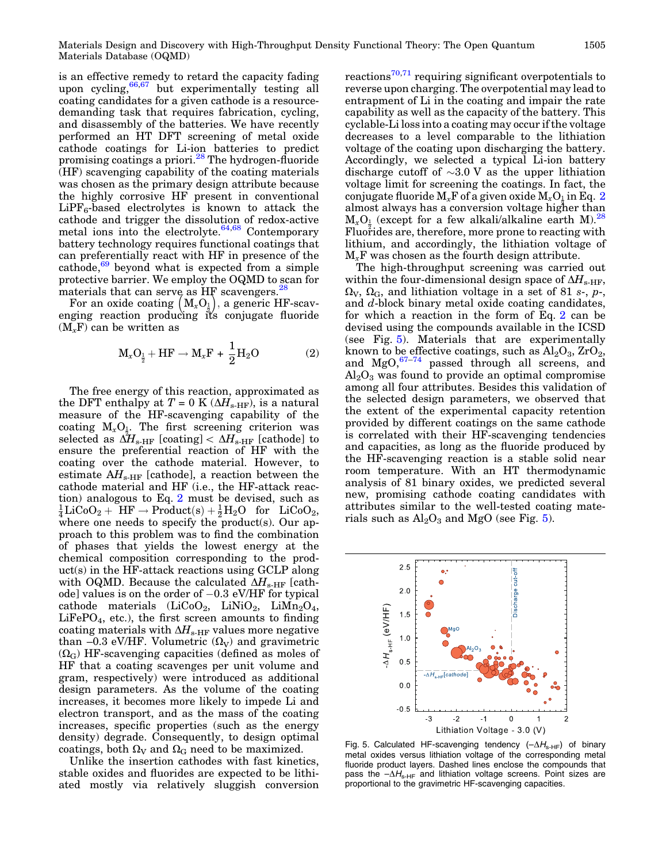is an effective remedy to retard the capacity fading upon cycling,  $66,67$  but experimentally testing all coating candidates for a given cathode is a resourcedemanding task that requires fabrication, cycling, and disassembly of the batteries. We have recently performed an HT DFT screening of metal oxide cathode coatings for Li-ion batteries to predict promising coatings a priori.<sup>[28](#page-7-0)</sup> The hydrogen-fluoride (HF) scavenging capability of the coating materials was chosen as the primary design attribute because the highly corrosive HF present in conventional  $LiPF_6$ -based electrolytes is known to attack the cathode and trigger the dissolution of redox-active metal ions into the electrolyte. $64,68$  Contemporary battery technology requires functional coatings that can preferentially react with HF in presence of the cathode, $69$  beyond what is expected from a simple protective barrier. We employ the OQMD to scan for materials that can serve as  $HF$  scavengers.<sup>[28](#page-7-0)</sup>

aterials that can serve as HF scavengers.<sup>20</sup><br>For an oxide coating  $\left(M_xO_{\frac{1}{2}}\right)$ , a generic HF-scavenging reaction producing it's conjugate fluoride  $(M<sub>r</sub>F)$  can be written as

$$
M_xO_{\frac{1}{2}} + HF \rightarrow M_xF + \frac{1}{2}H_2O \qquad (2)
$$

The free energy of this reaction, approximated as the DFT enthalpy at  $T = 0$  K ( $\Delta H_{\text{s-HF}}$ ), is a natural measure of the HF-scavenging capability of the coating  $M_xO_x$ . The first screening criterion was selected as  $\Delta H_{\textrm{s-HF}}$  [coating]  $< \Delta H_{\textrm{s-HF}}$  [cathode] to ensure the preferential reaction of HF with the coating over the cathode material. However, to estimate  $AH_{\text{s-HF}}$  [cathode], a reaction between the cathode material and HF (i.e., the HF-attack reaction) analogous to Eq. 2 must be devised, such as  $\frac{1}{4}\text{LiCoO}_2 + \text{HF} \rightarrow \text{Product(s)} + \frac{1}{2}\text{H}_2\text{O} \text{ for } \text{LiCoO}_2,$ where one needs to specify the product(s). Our approach to this problem was to find the combination of phases that yields the lowest energy at the chemical composition corresponding to the product(s) in the HF-attack reactions using GCLP along with OQMD. Because the calculated  $\Delta H_{\text{s-HF}}$  [cathode] values is on the order of  $-0.3$  eV/HF for typical cathode materials  $(LiCoO<sub>2</sub>, LiNiO<sub>2</sub>, LiMn<sub>2</sub>O<sub>4</sub>$  $LiFePO<sub>4</sub>$ , etc.), the first screen amounts to finding coating materials with  $\Delta H_{\text{s-HF}}$  values more negative than –0.3 eV/HF. Volumetric  $(\Omega_V)$  and gravimetric  $(\Omega_{\rm G})$  HF-scavenging capacities (defined as moles of HF that a coating scavenges per unit volume and gram, respectively) were introduced as additional design parameters. As the volume of the coating increases, it becomes more likely to impede Li and electron transport, and as the mass of the coating increases, specific properties (such as the energy density) degrade. Consequently, to design optimal coatings, both  $\Omega_V$  and  $\Omega_G$  need to be maximized.

Unlike the insertion cathodes with fast kinetics, stable oxides and fluorides are expected to be lithiated mostly via relatively sluggish conversion reactions<sup>[70,71](#page-8-0)</sup> requiring significant overpotentials to reverse upon charging. The overpotential may lead to entrapment of Li in the coating and impair the rate capability as well as the capacity of the battery. This cyclable-Li loss into a coating may occur if the voltage decreases to a level comparable to the lithiation voltage of the coating upon discharging the battery. Accordingly, we selected a typical Li-ion battery discharge cutoff of  $\sim 3.0$  V as the upper lithiation voltage limit for screening the coatings. In fact, the conjugate fluoride  $M_xF$  of a given oxide  $M_xO_{\frac{1}{3}}$  in Eq. 2 almost always has a conversion voltage higher than  $M_xO_{\frac{1}{2}}$  (except for a few alkali/alkaline earth M).<sup>[28](#page-7-0)</sup> Fluorides are, therefore, more prone to reacting with lithium, and accordingly, the lithiation voltage of  $M_{x}$ F was chosen as the fourth design attribute.

The high-throughput screening was carried out within the four-dimensional design space of  $\Delta H_{\text{s-HF}}$ ,  $\Omega_V$ ,  $\Omega_G$ , and lithiation voltage in a set of 81 s-, p-, and d-block binary metal oxide coating candidates, for which a reaction in the form of Eq. 2 can be devised using the compounds available in the ICSD (see Fig. 5). Materials that are experimentally known to be effective coatings, such as  $\text{Al}_2\text{O}_3$ ,  $\text{ZrO}_2$ , and  $MgO, ^{67-74}$  passed through all screens, and  $\text{Al}_2\text{O}_3$  was found to provide an optimal compromise among all four attributes. Besides this validation of the selected design parameters, we observed that the extent of the experimental capacity retention provided by different coatings on the same cathode is correlated with their HF-scavenging tendencies and capacities, as long as the fluoride produced by the HF-scavenging reaction is a stable solid near room temperature. With an HT thermodynamic analysis of 81 binary oxides, we predicted several new, promising cathode coating candidates with attributes similar to the well-tested coating materials such as  $\text{Al}_2\text{O}_3$  and MgO (see Fig. 5).



Fig. 5. Calculated HF-scavenging tendency  $(-\Delta H_{\text{s-HF}})$  of binary metal oxides versus lithiation voltage of the corresponding metal fluoride product layers. Dashed lines enclose the compounds that pass the  $-\Delta H_{\text{s-HF}}$  and lithiation voltage screens. Point sizes are proportional to the gravimetric HF-scavenging capacities.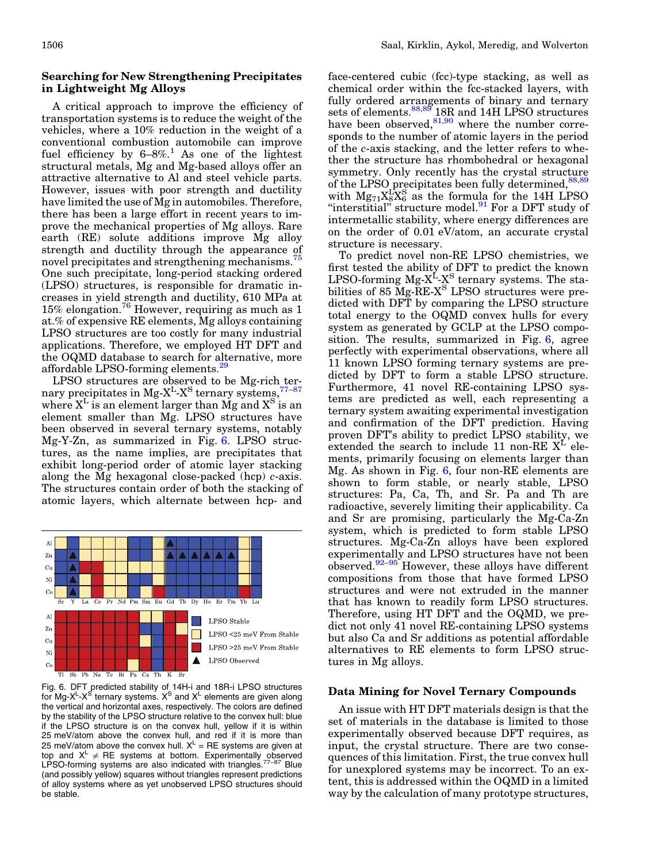## <span id="page-5-0"></span>Searching for New Strengthening Precipitates in Lightweight Mg Alloys

A critical approach to improve the efficiency of transportation systems is to reduce the weight of the vehicles, where a 10% reduction in the weight of a conventional combustion automobile can improve fuel efficiency by  $6-8\%$ .<sup>[1](#page-7-0)</sup> As one of the lightest structural metals, Mg and Mg-based alloys offer an attractive alternative to Al and steel vehicle parts. However, issues with poor strength and ductility have limited the use of Mg in automobiles. Therefore, there has been a large effort in recent years to improve the mechanical properties of Mg alloys. Rare earth (RE) solute additions improve Mg alloy strength and ductility through the appearance of novel precipitates and strengthening mechanisms.<sup>[75](#page-8-0)</sup> One such precipitate, long-period stacking ordered (LPSO) structures, is responsible for dramatic increases in yield strength and ductility, 610 MPa at 15% elongation.<sup>[76](#page-8-0)</sup> However, requiring as much as 1 at.% of expensive RE elements, Mg alloys containing LPSO structures are too costly for many industrial applications. Therefore, we employed HT DFT and the OQMD database to search for alternative, more affordable LPSO-forming elements. $\frac{3}{2}$ 

LPSO structures are observed to be Mg-rich ternary precipitates in  $Mg-X<sup>L</sup>-X<sup>S</sup>$  ternary systems,  $77-87$ where  $X<sup>L</sup>$  is an element larger than Mg and  $X<sup>S</sup>$  is an element smaller than Mg. LPSO structures have been observed in several ternary systems, notably Mg-Y-Zn, as summarized in Fig. 6. LPSO structures, as the name implies, are precipitates that exhibit long-period order of atomic layer stacking along the Mg hexagonal close-packed (hcp)  $c$ -axis. The structures contain order of both the stacking of atomic layers, which alternate between hcp- and



Fig. 6. DFT predicted stability of 14H-i and 18R-i LPSO structures for Mg-X<sup>L</sup>-X<sup>S</sup> ternary systems. X<sup>S</sup> and X<sup>L</sup> elements are given along the vertical and horizontal axes, respectively. The colors are defined by the stability of the LPSO structure relative to the convex hull: blue if the LPSO structure is on the convex hull, yellow if it is within 25 meV/atom above the convex hull, and red if it is more than 25 meV/atom above the convex hull.  $X^L = RE$  systems are given at top and  $X^L \neq \mathsf{RE}$  systems at bottom. Experimentally observed LPSO-forming systems are also indicated with triangles.<sup>[77](#page-8-0)-[87](#page-8-0)</sup> Blue (and possibly yellow) squares without triangles represent predictions of alloy systems where as yet unobserved LPSO structures should be stable.

face-centered cubic (fcc)-type stacking, as well as chemical order within the fcc-stacked layers, with fully ordered arrangements of binary and ternary sets of elements.<sup>[88,89](#page-8-0)</sup> 18R and 14H LPSO structures have been observed, $81,90$  where the number corresponds to the number of atomic layers in the period of the c-axis stacking, and the letter refers to whether the structure has rhombohedral or hexagonal symmetry. Only recently has the crystal structure of the LPSO precipitates been fully determined, $88,89$ with  $Mg_{71}X_8^LX_6^S$  as the formula for the 14H LPSO "interstitial" structure model. $91$  For a DFT study of intermetallic stability, where energy differences are on the order of 0.01 eV/atom, an accurate crystal structure is necessary.

To predict novel non-RE LPSO chemistries, we first tested the ability of DFT to predict the known LPSO-forming  $Mg-X^L-X^S$  ternary systems. The stabilities of 85 Mg-RE-X<sup>S</sup> LPSO structures were predicted with DFT by comparing the LPSO structure total energy to the OQMD convex hulls for every system as generated by GCLP at the LPSO composition. The results, summarized in Fig. 6, agree perfectly with experimental observations, where all 11 known LPSO forming ternary systems are predicted by DFT to form a stable LPSO structure. Furthermore, 41 novel RE-containing LPSO systems are predicted as well, each representing a ternary system awaiting experimental investigation and confirmation of the DFT prediction. Having proven DFT's ability to predict LPSO stability, we extended the search to include 11 non-RE  $X<sup>L</sup>$  elements, primarily focusing on elements larger than Mg. As shown in Fig. 6, four non-RE elements are shown to form stable, or nearly stable, LPSO structures: Pa, Ca, Th, and Sr. Pa and Th are radioactive, severely limiting their applicability. Ca and Sr are promising, particularly the Mg-Ca-Zn system, which is predicted to form stable LPSO structures. Mg-Ca-Zn alloys have been explored experimentally and LPSO structures have not been observed. $92-95$  However, these alloys have different compositions from those that have formed LPSO structures and were not extruded in the manner that has known to readily form LPSO structures. Therefore, using HT DFT and the OQMD, we predict not only 41 novel RE-containing LPSO systems but also Ca and Sr additions as potential affordable alternatives to RE elements to form LPSO structures in Mg alloys.

## Data Mining for Novel Ternary Compounds

An issue with HT DFT materials design is that the set of materials in the database is limited to those experimentally observed because DFT requires, as input, the crystal structure. There are two consequences of this limitation. First, the true convex hull for unexplored systems may be incorrect. To an extent, this is addressed within the OQMD in a limited way by the calculation of many prototype structures,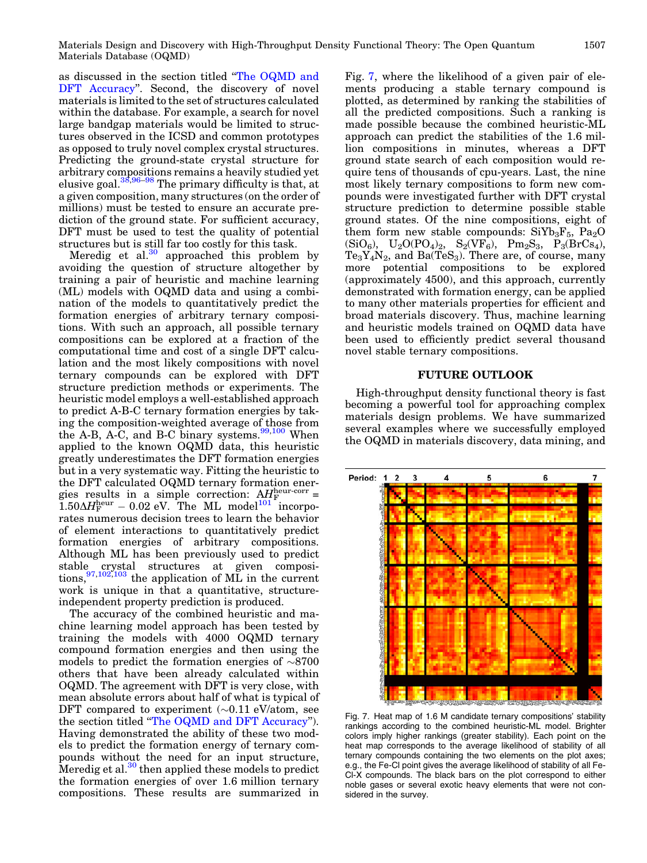as discussed in the section titled ''[The OQMD and](#page-1-0) [DFT Accuracy](#page-1-0)". Second, the discovery of novel materials is limited to the set of structures calculated within the database. For example, a search for novel large bandgap materials would be limited to structures observed in the ICSD and common prototypes as opposed to truly novel complex crystal structures. Predicting the ground-state crystal structure for arbitrary compositions remains a heavily studied yet elusive goal. $38,96-98$  The primary difficulty is that, at a given composition, many structures (on the order of millions) must be tested to ensure an accurate prediction of the ground state. For sufficient accuracy, DFT must be used to test the quality of potential structures but is still far too costly for this task.

Meredig et al. $30$  approached this problem by avoiding the question of structure altogether by training a pair of heuristic and machine learning (ML) models with OQMD data and using a combination of the models to quantitatively predict the formation energies of arbitrary ternary compositions. With such an approach, all possible ternary compositions can be explored at a fraction of the computational time and cost of a single DFT calculation and the most likely compositions with novel ternary compounds can be explored with DFT structure prediction methods or experiments. The heuristic model employs a well-established approach to predict A-B-C ternary formation energies by taking the composition-weighted average of those from the A-B, A-C, and B-C binary systems. $99,100$  When applied to the known OQMD data, this heuristic greatly underestimates the DFT formation energies but in a very systematic way. Fitting the heuristic to the DFT calculated OQMD ternary formation energies results in a simple correction:  $AH_F^{\text{heur-corr}}$  =  $1.50\Delta H_{\mathrm{F}}^{\mathrm{heur}} - 0.02$  eV. The ML model<sup>[101](#page-8-0)</sup> incorporates numerous decision trees to learn the behavior of element interactions to quantitatively predict formation energies of arbitrary compositions. Although ML has been previously used to predict stable crystal structures at given compositions,  $97,102,103$  the application of ML in the current work is unique in that a quantitative, structureindependent property prediction is produced.

The accuracy of the combined heuristic and machine learning model approach has been tested by training the models with 4000 OQMD ternary compound formation energies and then using the models to predict the formation energies of  $\sim 8700$ others that have been already calculated within OQMD. The agreement with DFT is very close, with mean absolute errors about half of what is typical of DFT compared to experiment  $(\sim 0.11 \text{ eV}$ /atom, see the section titled '['The OQMD and DFT Accuracy'](#page-1-0)'). Having demonstrated the ability of these two models to predict the formation energy of ternary compounds without the need for an input structure, Meredig et al. $30$  then applied these models to predict the formation energies of over 1.6 million ternary compositions. These results are summarized in Fig. 7, where the likelihood of a given pair of elements producing a stable ternary compound is plotted, as determined by ranking the stabilities of all the predicted compositions. Such a ranking is made possible because the combined heuristic-ML approach can predict the stabilities of the 1.6 million compositions in minutes, whereas a DFT ground state search of each composition would require tens of thousands of cpu-years. Last, the nine most likely ternary compositions to form new compounds were investigated further with DFT crystal structure prediction to determine possible stable ground states. Of the nine compositions, eight of them form new stable compounds:  $SiYb_3F_5$ ,  $Pa_2O$  $(SiO_6)$ ,  $U_2O(PO_4)_2$ ,  $S_2(VF_6)$ ,  $Pm_2S_3$ ,  $P_3(BrCs_4)$ ,  $Te_3Y_4N_2$ , and  $Ba(TeS_3)$ . There are, of course, many more potential compositions to be explored (approximately 4500), and this approach, currently demonstrated with formation energy, can be applied to many other materials properties for efficient and broad materials discovery. Thus, machine learning and heuristic models trained on OQMD data have been used to efficiently predict several thousand novel stable ternary compositions.

#### FUTURE OUTLOOK

High-throughput density functional theory is fast becoming a powerful tool for approaching complex materials design problems. We have summarized several examples where we successfully employed the OQMD in materials discovery, data mining, and



Fig. 7. Heat map of 1.6 M candidate ternary compositions' stability rankings according to the combined heuristic-ML model. Brighter colors imply higher rankings (greater stability). Each point on the heat map corresponds to the average likelihood of stability of all ternary compounds containing the two elements on the plot axes; e.g., the Fe-Cl point gives the average likelihood of stability of all Fe-Cl-X compounds. The black bars on the plot correspond to either noble gases or several exotic heavy elements that were not considered in the survey.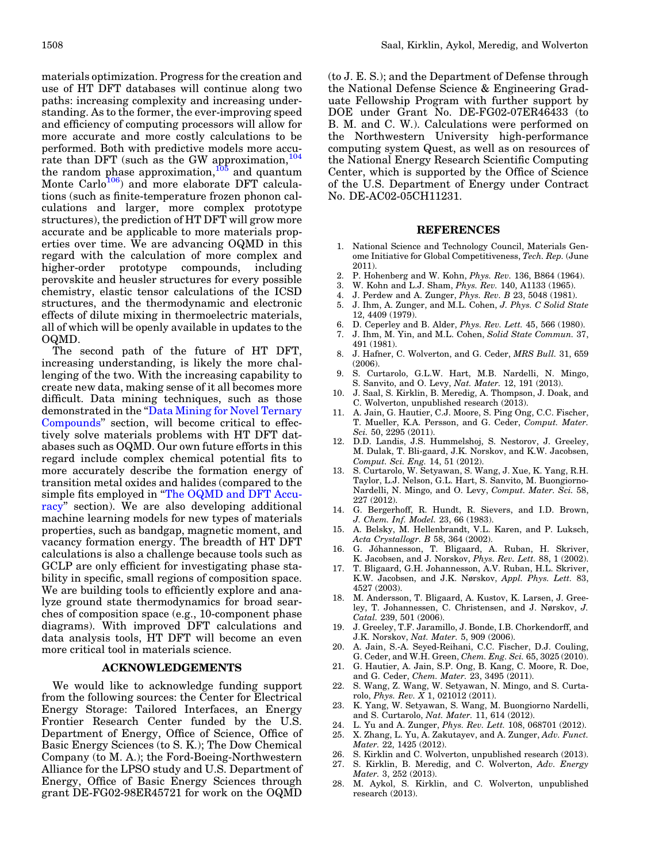<span id="page-7-0"></span>materials optimization. Progress for the creation and use of HT DFT databases will continue along two paths: increasing complexity and increasing understanding. As to the former, the ever-improving speed and efficiency of computing processors will allow for more accurate and more costly calculations to be performed. Both with predictive models more accurate than DFT (such as the GW approximation,  $104$ the random phase approximation,  $105$  and quantum Monte Carlo<sup>[106](#page-8-0)</sup>) and more elaborate DFT calculations (such as finite-temperature frozen phonon calculations and larger, more complex prototype structures), the prediction of HT DFT will grow more accurate and be applicable to more materials properties over time. We are advancing OQMD in this regard with the calculation of more complex and higher-order prototype compounds, including perovskite and heusler structures for every possible chemistry, elastic tensor calculations of the ICSD structures, and the thermodynamic and electronic effects of dilute mixing in thermoelectric materials, all of which will be openly available in updates to the OQMD.

The second path of the future of HT DFT, increasing understanding, is likely the more challenging of the two. With the increasing capability to create new data, making sense of it all becomes more difficult. Data mining techniques, such as those demonstrated in the "Data Mining for Novel Ternary" [Compounds'](#page-5-0)' section, will become critical to effectively solve materials problems with HT DFT databases such as OQMD. Our own future efforts in this regard include complex chemical potential fits to more accurately describe the formation energy of transition metal oxides and halides (compared to the simple fits employed in ''[The OQMD and DFT Accu](#page-1-0)[racy](#page-1-0)'' section). We are also developing additional machine learning models for new types of materials properties, such as bandgap, magnetic moment, and vacancy formation energy. The breadth of HT DFT calculations is also a challenge because tools such as GCLP are only efficient for investigating phase stability in specific, small regions of composition space. We are building tools to efficiently explore and analyze ground state thermodynamics for broad searches of composition space (e.g., 10-component phase diagrams). With improved DFT calculations and data analysis tools, HT DFT will become an even more critical tool in materials science.

#### ACKNOWLEDGEMENTS

We would like to acknowledge funding support from the following sources: the Center for Electrical Energy Storage: Tailored Interfaces, an Energy Frontier Research Center funded by the U.S. Department of Energy, Office of Science, Office of Basic Energy Sciences (to S. K.); The Dow Chemical Company (to M. A.); the Ford-Boeing-Northwestern Alliance for the LPSO study and U.S. Department of Energy, Office of Basic Energy Sciences through grant DE-FG02-98ER45721 for work on the OQMD

(to J. E. S.); and the Department of Defense through the National Defense Science & Engineering Graduate Fellowship Program with further support by DOE under Grant No. DE-FG02-07ER46433 (to B. M. and C. W.). Calculations were performed on the Northwestern University high-performance computing system Quest, as well as on resources of the National Energy Research Scientific Computing Center, which is supported by the Office of Science of the U.S. Department of Energy under Contract No. DE-AC02-05CH11231.

#### REFERENCES

- 1. National Science and Technology Council, Materials Genome Initiative for Global Competitiveness, Tech. Rep. (June 2011).
- 2. P. Hohenberg and W. Kohn, *Phys. Rev.* 136, B864 (1964).<br>3. W. Kohn and L.J. Sham. *Phys. Rev.* 140. A1133 (1965).
- W. Kohn and L.J. Sham, *Phys. Rev.* 140, A1133 (1965).
- 4. J. Perdew and A. Zunger, Phys. Rev. B 23, 5048 (1981).
- 5. J. Ihm, A. Zunger, and M.L. Cohen, J. Phys. C Solid State 12, 4409 (1979).
- 6. D. Ceperley and B. Alder, Phys. Rev. Lett. 45, 566 (1980).
- 7. J. Ihm, M. Yin, and M.L. Cohen, Solid State Commun. 37,
- 491 (1981). 8. J. Hafner, C. Wolverton, and G. Ceder, MRS Bull. 31, 659 (2006).
- 9. S. Curtarolo, G.L.W. Hart, M.B. Nardelli, N. Mingo, S. Sanvito, and O. Levy, Nat. Mater. 12, 191 (2013).
- 10. J. Saal, S. Kirklin, B. Meredig, A. Thompson, J. Doak, and C. Wolverton, unpublished research (2013).
- 11. A. Jain, G. Hautier, C.J. Moore, S. Ping Ong, C.C. Fischer, T. Mueller, K.A. Persson, and G. Ceder, Comput. Mater. Sci. 50, 2295 (2011).
- 12. D.D. Landis, J.S. Hummelshoj, S. Nestorov, J. Greeley, M. Dulak, T. Bli-gaard, J.K. Norskov, and K.W. Jacobsen, Comput. Sci. Eng. 14, 51 (2012).
- 13. S. Curtarolo, W. Setyawan, S. Wang, J. Xue, K. Yang, R.H. Taylor, L.J. Nelson, G.L. Hart, S. Sanvito, M. Buongiorno-Nardelli, N. Mingo, and O. Levy, Comput. Mater. Sci. 58, 227 (2012).
- 14. G. Bergerhoff, R. Hundt, R. Sievers, and I.D. Brown, J. Chem. Inf. Model. 23, 66 (1983).
- 15. A. Belsky, M. Hellenbrandt, V.L. Karen, and P. Luksch, Acta Crystallogr. B 58, 364 (2002).
- 16. G. Jóhannesson, T. Bligaard, A. Ruban, H. Skriver, K. Jacobsen, and J. Norskov, Phys. Rev. Lett. 88, 1 (2002).
- 17. T. Bligaard, G.H. Johannesson, A.V. Ruban, H.L. Skriver, K.W. Jacobsen, and J.K. Nørskov, Appl. Phys. Lett. 83, 4527 (2003).
- 18. M. Andersson, T. Bligaard, A. Kustov, K. Larsen, J. Greeley, T. Johannessen, C. Christensen, and J. Nørskov, J. Catal. 239, 501 (2006).
- 19. J. Greeley, T.F. Jaramillo, J. Bonde, I.B. Chorkendorff, and J.K. Norskov, Nat. Mater. 5, 909 (2006).
- 20. A. Jain, S.-A. Seyed-Reihani, C.C. Fischer, D.J. Couling, G. Ceder, and W.H. Green, Chem. Eng. Sci. 65, 3025 (2010).
- 21. G. Hautier, A. Jain, S.P. Ong, B. Kang, C. Moore, R. Doe, and G. Ceder, Chem. Mater. 23, 3495 (2011).
- 22. S. Wang, Z. Wang, W. Setyawan, N. Mingo, and S. Curtarolo, *Phys. Rev. X* 1, 021012 (2011).
- 23. K. Yang, W. Setyawan, S. Wang, M. Buongiorno Nardelli, and S. Curtarolo, Nat. Mater. 11, 614 (2012).
- 24. L. Yu and A. Zunger, Phys. Rev. Lett. 108, 068701 (2012).
- 25. X. Zhang, L. Yu, A. Zakutayev, and A. Zunger, Adv. Funct. Mater. 22, 1425 (2012).
- 26. S. Kirklin and C. Wolverton, unpublished research (2013). 27. S. Kirklin, B. Meredig, and C. Wolverton, Adv. Energy Mater. 3, 252 (2013).
- 28. M. Aykol, S. Kirklin, and C. Wolverton, unpublished research (2013).